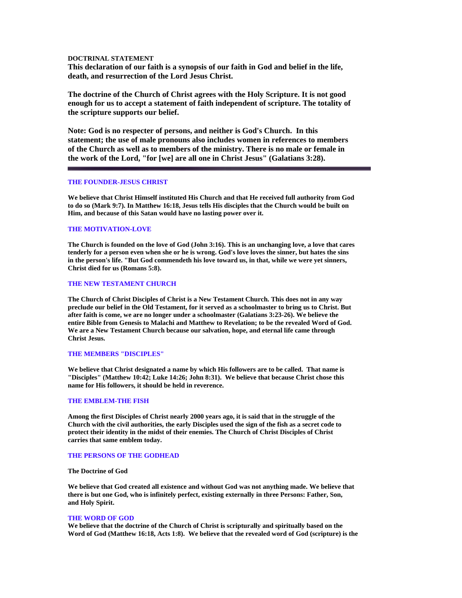## **DOCTRINAL STATEMENT**

**This declaration of our faith is a synopsis of our faith in God and belief in the life, death, and resurrection of the Lord Jesus Christ.** 

**The doctrine of the Church of Christ agrees with the Holy Scripture. It is not good enough for us to accept a statement of faith independent of scripture. The totality of the scripture supports our belief.** 

**Note: God is no respecter of persons, and neither is God's Church. In this statement; the use of male pronouns also includes women in references to members of the Church as well as to members of the ministry. There is no male or female in the work of the Lord, "for [we] are all one in Christ Jesus" (Galatians 3:28).**

## **THE FOUNDER-JESUS CHRIST**

**We believe that Christ Himself instituted His Church and that He received full authority from God to do so (Mark 9:7). In Matthew 16:18, Jesus tells His disciples that the Church would be built on Him, and because of this Satan would have no lasting power over it.** 

## **THE MOTIVATION-LOVE**

**The Church is founded on the love of God (John 3:16). This is an unchanging love, a love that cares tenderly for a person even when she or he is wrong. God's love loves the sinner, but hates the sins in the person's life. "But God commendeth his love toward us, in that, while we were yet sinners, Christ died for us (Romans 5:8).** 

## **THE NEW TESTAMENT CHURCH**

**The Church of Christ Disciples of Christ is a New Testament Church. This does not in any way preclude our belief in the Old Testament, for it served as a schoolmaster to bring us to Christ. But after faith is come, we are no longer under a schoolmaster (Galatians 3:23-26). We believe the entire Bible from Genesis to Malachi and Matthew to Revelation; to be the revealed Word of God. We are a New Testament Church because our salvation, hope, and eternal life came through Christ Jesus.** 

#### **THE MEMBERS "DISCIPLES"**

**We believe that Christ designated a name by which His followers are to be called. That name is "Disciples" (Matthew 10:42; Luke 14:26; John 8:31). We believe that because Christ chose this name for His followers, it should be held in reverence.** 

## **THE EMBLEM-THE FISH**

**Among the first Disciples of Christ nearly 2000 years ago, it is said that in the struggle of the Church with the civil authorities, the early Disciples used the sign of the fish as a secret code to protect their identity in the midst of their enemies. The Church of Christ Disciples of Christ carries that same emblem today.** 

#### **THE PERSONS OF THE GODHEAD**

### **The Doctrine of God**

**We believe that God created all existence and without God was not anything made. We believe that there is but one God, who is infinitely perfect, existing externally in three Persons: Father, Son, and Holy Spirit.** 

#### **THE WORD OF GOD**

**We believe that the doctrine of the Church of Christ is scripturally and spiritually based on the Word of God (Matthew 16:18, Acts 1:8). We believe that the revealed word of God (scripture) is the**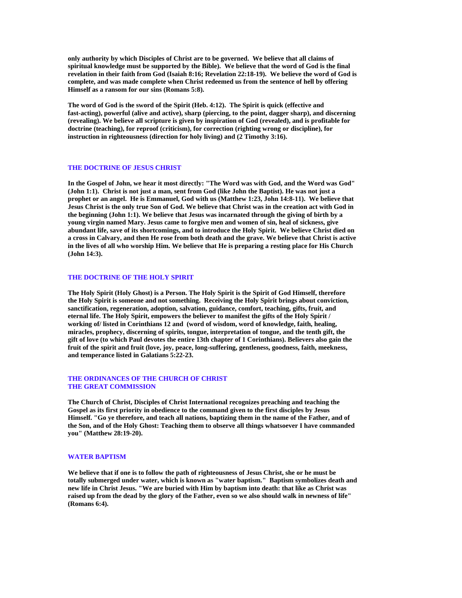**only authority by which Disciples of Christ are to be governed. We believe that all claims of spiritual knowledge must be supported by the Bible). We believe that the word of God is the final revelation in their faith from God (Isaiah 8:16; Revelation 22:18-19). We believe the word of God is complete, and was made complete when Christ redeemed us from the sentence of hell by offering Himself as a ransom for our sins (Romans 5:8).** 

**The word of God is the sword of the Spirit (Heb. 4:12). The Spirit is quick (effective and fast-acting), powerful (alive and active), sharp (piercing, to the point, dagger sharp), and discerning (revealing). We believe all scripture is given by inspiration of God (revealed), and is profitable for doctrine (teaching), for reproof (criticism), for correction (righting wrong or discipline), for instruction in righteousness (direction for holy living) and (2 Timothy 3:16).** 

#### **THE DOCTRINE OF JESUS CHRIST**

**In the Gospel of John, we hear it most directly: "The Word was with God, and the Word was God" (John 1:1). Christ is not just a man, sent from God (like John the Baptist). He was not just a prophet or an angel. He is Emmanuel, God with us (Matthew 1:23, John 14:8-11). We believe that Jesus Christ is the only true Son of God. We believe that Christ was in the creation act with God in the beginning (John 1:1). We believe that Jesus was incarnated through the giving of birth by a young virgin named Mary. Jesus came to forgive men and women of sin, heal of sickness, give abundant life, save of its shortcomings, and to introduce the Holy Spirit. We believe Christ died on a cross in Calvary, and then He rose from both death and the grave. We believe that Christ is active in the lives of all who worship Him. We believe that He is preparing a resting place for His Church (John 14:3).** 

## **THE DOCTRINE OF THE HOLY SPIRIT**

**The Holy Spirit (Holy Ghost) is a Person. The Holy Spirit is the Spirit of God Himself, therefore the Holy Spirit is someone and not something. Receiving the Holy Spirit brings about conviction, sanctification, regeneration, adoption, salvation, guidance, comfort, teaching, gifts, fruit, and eternal life. The Holy Spirit, empowers the believer to manifest the gifts of the Holy Spirit / working of/ listed in Corinthians 12 and (word of wisdom, word of knowledge, faith, healing, miracles, prophecy, discerning of spirits, tongue, interpretation of tongue, and the tenth gift, the gift of love (to which Paul devotes the entire 13th chapter of 1 Corinthians). Believers also gain the fruit of the spirit and fruit (love, joy, peace, long-suffering, gentleness, goodness, faith, meekness, and temperance listed in Galatians 5:22-23.** 

## **THE ORDINANCES OF THE CHURCH OF CHRIST THE GREAT COMMISSION**

**The Church of Christ, Disciples of Christ International recognizes preaching and teaching the Gospel as its first priority in obedience to the command given to the first disciples by Jesus Himself. "Go ye therefore, and teach all nations, baptizing them in the name of the Father, and of the Son, and of the Holy Ghost: Teaching them to observe all things whatsoever I have commanded you" (Matthew 28:19-20).** 

## **WATER BAPTISM**

**We believe that if one is to follow the path of righteousness of Jesus Christ, she or he must be totally submerged under water, which is known as "water baptism." Baptism symbolizes death and new life in Christ Jesus. "We are buried with Him by baptism into death: that like as Christ was raised up from the dead by the glory of the Father, even so we also should walk in newness of life" (Romans 6:4).**